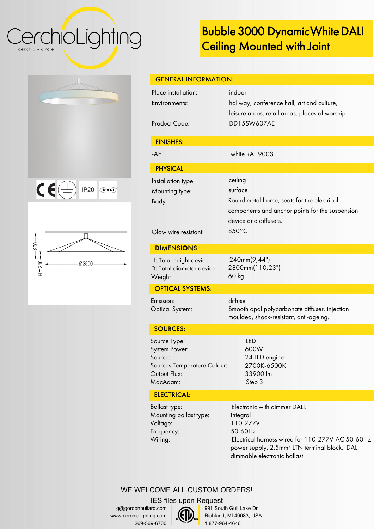# CerchioLighting cerchio = circle

# Bubble 3000 Dynamic White DALI Ceiling Mounted with Joint

| $\mathsf{CE}(\oplus)$<br>$IP20$ $\circ$ ALD |
|---------------------------------------------|
|                                             |





| <b>GENERAL INFORMATION:</b>                                                                         |                                                                                                                                                        |  |
|-----------------------------------------------------------------------------------------------------|--------------------------------------------------------------------------------------------------------------------------------------------------------|--|
| Place installation:<br>Environments:<br><b>Product Code:</b>                                        | indoor<br>hallway, conference hall, art and culture,<br>leisure areas, retail areas, places of worship<br><b>DD15SW607AE</b>                           |  |
| <b>FINISHES:</b>                                                                                    |                                                                                                                                                        |  |
| $-AE$                                                                                               | white RAL 9003                                                                                                                                         |  |
| <b>PHYSICAL:</b>                                                                                    |                                                                                                                                                        |  |
| Installation type:<br>Mounting type:<br>Body:<br>Glow wire resistant:                               | ceiling<br>surface<br>Round metal frame, seats for the electrical<br>components and anchor points for the suspension<br>device and diffusers.<br>850°C |  |
| <b>DIMENSIONS:</b>                                                                                  |                                                                                                                                                        |  |
| H: Total height device<br>D: Total diameter device<br>Weight                                        | 240mm(9,44")<br>2800mm(110,23")<br>60 kg                                                                                                               |  |
| <b>OPTICAL SYSTEMS:</b>                                                                             |                                                                                                                                                        |  |
| Emission:<br><b>Optical System:</b>                                                                 | diffuse<br>Smooth opal polycarbonate diffuser, injection<br>moulded, shock-resistant, anti-ageing.                                                     |  |
| <b>SOURCES:</b>                                                                                     |                                                                                                                                                        |  |
| Source Type:<br>System Power:<br>Source:<br>Sources Temperature Colour:<br>Output Flux:<br>MacAdam: | <b>LED</b><br>600W<br>24 LED engine<br>2700K-6500K<br>33900 lm<br>Step 3                                                                               |  |



Ballast type: Mounting ballast type: Voltage: Frequency: Wiring:

Electronic with dimmer DALI. Integral 110-277V 50-60Hz Electrical harness wired for 110-277V-AC 50-60Hz power supply. 2.5mm² LTN terminal block. DALI dimmable electronic ballast.